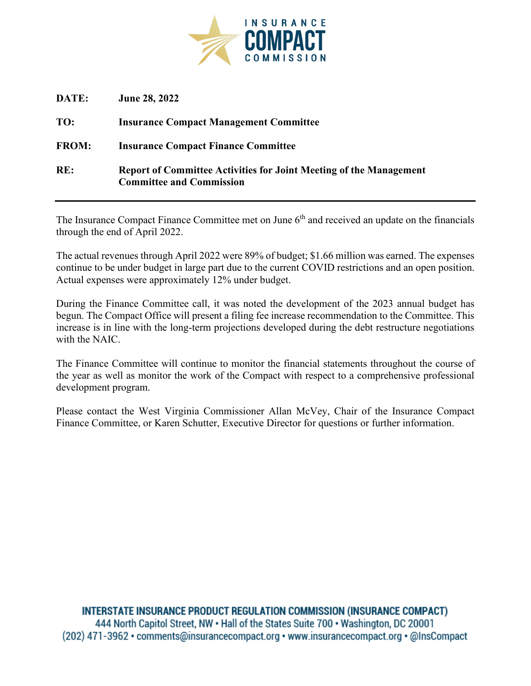

| DATE:        | <b>June 28, 2022</b>                                                                                         |
|--------------|--------------------------------------------------------------------------------------------------------------|
| TO:          | <b>Insurance Compact Management Committee</b>                                                                |
| <b>FROM:</b> | <b>Insurance Compact Finance Committee</b>                                                                   |
| RE:          | <b>Report of Committee Activities for Joint Meeting of the Management</b><br><b>Committee and Commission</b> |

The Insurance Compact Finance Committee met on June  $6<sup>th</sup>$  and received an update on the financials through the end of April 2022.

The actual revenues through April 2022 were 89% of budget; \$1.66 million was earned. The expenses continue to be under budget in large part due to the current COVID restrictions and an open position. Actual expenses were approximately 12% under budget.

During the Finance Committee call, it was noted the development of the 2023 annual budget has begun. The Compact Office will present a filing fee increase recommendation to the Committee. This increase is in line with the long-term projections developed during the debt restructure negotiations with the NAIC.

The Finance Committee will continue to monitor the financial statements throughout the course of the year as well as monitor the work of the Compact with respect to a comprehensive professional development program.

Please contact the West Virginia Commissioner Allan McVey, Chair of the Insurance Compact Finance Committee, or Karen Schutter, Executive Director for questions or further information.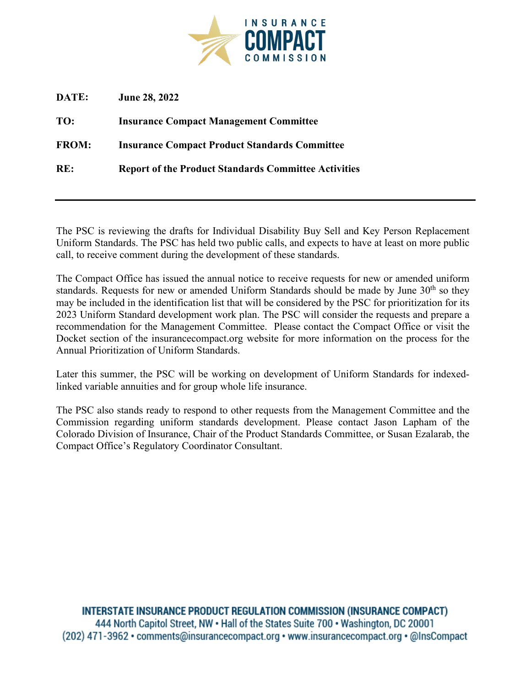

| DATE:        | <b>June 28, 2022</b>                                        |
|--------------|-------------------------------------------------------------|
| TO:          | <b>Insurance Compact Management Committee</b>               |
| <b>FROM:</b> | <b>Insurance Compact Product Standards Committee</b>        |
| RE:          | <b>Report of the Product Standards Committee Activities</b> |
|              |                                                             |

The PSC is reviewing the drafts for Individual Disability Buy Sell and Key Person Replacement Uniform Standards. The PSC has held two public calls, and expects to have at least on more public call, to receive comment during the development of these standards.

The Compact Office has issued the annual notice to receive requests for new or amended uniform standards. Requests for new or amended Uniform Standards should be made by June  $30<sup>th</sup>$  so they may be included in the identification list that will be considered by the PSC for prioritization for its 2023 Uniform Standard development work plan. The PSC will consider the requests and prepare a recommendation for the Management Committee. Please contact the Compact Office or visit the Docket section of the insurancecompact.org website for more information on the process for the Annual Prioritization of Uniform Standards.

Later this summer, the PSC will be working on development of Uniform Standards for indexedlinked variable annuities and for group whole life insurance.

The PSC also stands ready to respond to other requests from the Management Committee and the Commission regarding uniform standards development. Please contact Jason Lapham of the Colorado Division of Insurance, Chair of the Product Standards Committee, or Susan Ezalarab, the Compact Office's Regulatory Coordinator Consultant.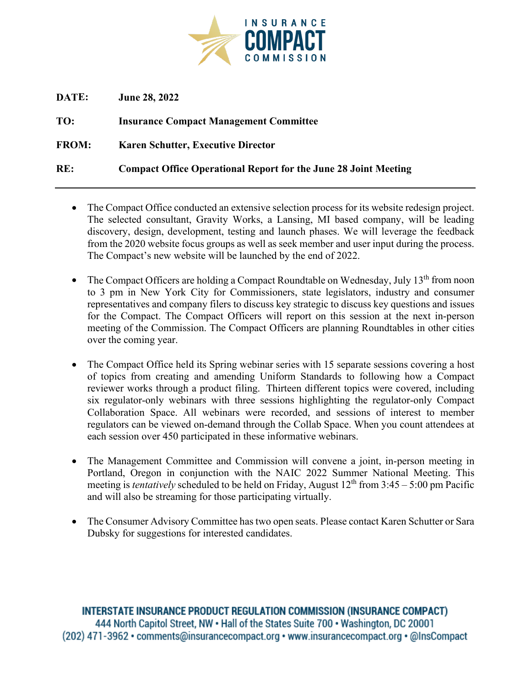

| DATE:        | <b>June 28, 2022</b>                                                   |
|--------------|------------------------------------------------------------------------|
| TO:          | <b>Insurance Compact Management Committee</b>                          |
| <b>FROM:</b> | <b>Karen Schutter, Executive Director</b>                              |
| RE:          | <b>Compact Office Operational Report for the June 28 Joint Meeting</b> |

- The Compact Office conducted an extensive selection process for its website redesign project. The selected consultant, Gravity Works, a Lansing, MI based company, will be leading discovery, design, development, testing and launch phases. We will leverage the feedback from the 2020 website focus groups as well as seek member and user input during the process. The Compact's new website will be launched by the end of 2022.
- The Compact Officers are holding a Compact Roundtable on Wednesday, July 13<sup>th</sup> from noon to 3 pm in New York City for Commissioners, state legislators, industry and consumer representatives and company filers to discuss key strategic to discuss key questions and issues for the Compact. The Compact Officers will report on this session at the next in-person meeting of the Commission. The Compact Officers are planning Roundtables in other cities over the coming year.
- The Compact Office held its Spring webinar series with 15 separate sessions covering a host of topics from creating and amending Uniform Standards to following how a Compact reviewer works through a product filing. Thirteen different topics were covered, including six regulator-only webinars with three sessions highlighting the regulator-only Compact Collaboration Space. All webinars were recorded, and sessions of interest to member regulators can be viewed on-demand through the Collab Space. When you count attendees at each session over 450 participated in these informative webinars.
- The Management Committee and Commission will convene a joint, in-person meeting in Portland, Oregon in conjunction with the NAIC 2022 Summer National Meeting. This meeting is *tentatively* scheduled to be held on Friday, August 12<sup>th</sup> from 3:45 – 5:00 pm Pacific and will also be streaming for those participating virtually.
- The Consumer Advisory Committee has two open seats. Please contact Karen Schutter or Sara Dubsky for suggestions for interested candidates.

**INTERSTATE INSURANCE PRODUCT REGULATION COMMISSION (INSURANCE COMPACT)** 444 North Capitol Street, NW . Hall of the States Suite 700 . Washington, DC 20001 (202) 471-3962 • comments@insurancecompact.org • www.insurancecompact.org • @InsCompact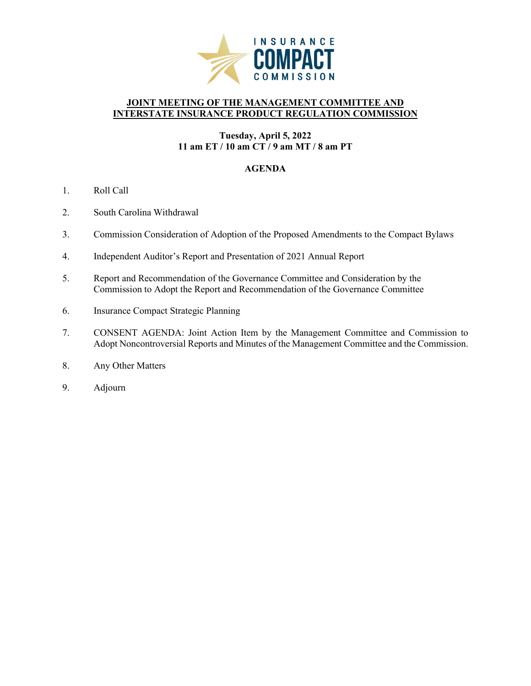

## **JOINT MEETING OF THE MANAGEMENT COMMITTEE AND INTERSTATE INSURANCE PRODUCT REGULATION COMMISSION**

## **Tuesday, April 5, 2022 11 am ET / 10 am CT / 9 am MT / 8 am PT**

## **AGENDA**

- 1. Roll Call
- 2. South Carolina Withdrawal
- 3. Commission Consideration of Adoption of the Proposed Amendments to the Compact Bylaws
- 4. Independent Auditor's Report and Presentation of 2021 Annual Report
- 5. Report and Recommendation of the Governance Committee and Consideration by the Commission to Adopt the Report and Recommendation of the Governance Committee
- 6. Insurance Compact Strategic Planning
- 7. CONSENT AGENDA: Joint Action Item by the Management Committee and Commission to Adopt Noncontroversial Reports and Minutes of the Management Committee and the Commission.
- 8. Any Other Matters
- 9. Adjourn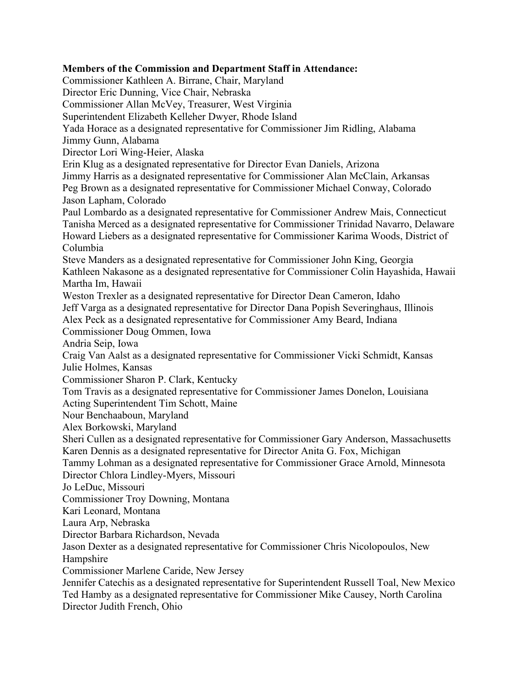# **Members of the Commission and Department Staff in Attendance:**

Commissioner Kathleen A. Birrane, Chair, Maryland Director Eric Dunning, Vice Chair, Nebraska Commissioner Allan McVey, Treasurer, West Virginia Superintendent Elizabeth Kelleher Dwyer, Rhode Island Yada Horace as a designated representative for Commissioner Jim Ridling, Alabama Jimmy Gunn, Alabama Director Lori Wing-Heier, Alaska Erin Klug as a designated representative for Director Evan Daniels, Arizona Jimmy Harris as a designated representative for Commissioner Alan McClain, Arkansas Peg Brown as a designated representative for Commissioner Michael Conway, Colorado Jason Lapham, Colorado Paul Lombardo as a designated representative for Commissioner Andrew Mais, Connecticut Tanisha Merced as a designated representative for Commissioner Trinidad Navarro, Delaware Howard Liebers as a designated representative for Commissioner Karima Woods, District of Columbia Steve Manders as a designated representative for Commissioner John King, Georgia Kathleen Nakasone as a designated representative for Commissioner Colin Hayashida, Hawaii Martha Im, Hawaii Weston Trexler as a designated representative for Director Dean Cameron, Idaho Jeff Varga as a designated representative for Director Dana Popish Severinghaus, Illinois Alex Peck as a designated representative for Commissioner Amy Beard, Indiana Commissioner Doug Ommen, Iowa Andria Seip, Iowa Craig Van Aalst as a designated representative for Commissioner Vicki Schmidt, Kansas Julie Holmes, Kansas Commissioner Sharon P. Clark, Kentucky Tom Travis as a designated representative for Commissioner James Donelon, Louisiana Acting Superintendent Tim Schott, Maine Nour Benchaaboun, Maryland Alex Borkowski, Maryland Sheri Cullen as a designated representative for Commissioner Gary Anderson, Massachusetts Karen Dennis as a designated representative for Director Anita G. Fox, Michigan Tammy Lohman as a designated representative for Commissioner Grace Arnold, Minnesota Director Chlora Lindley-Myers, Missouri Jo LeDuc, Missouri Commissioner Troy Downing, Montana Kari Leonard, Montana Laura Arp, Nebraska Director Barbara Richardson, Nevada Jason Dexter as a designated representative for Commissioner Chris Nicolopoulos, New Hampshire Commissioner Marlene Caride, New Jersey Jennifer Catechis as a designated representative for Superintendent Russell Toal, New Mexico Ted Hamby as a designated representative for Commissioner Mike Causey, North Carolina Director Judith French, Ohio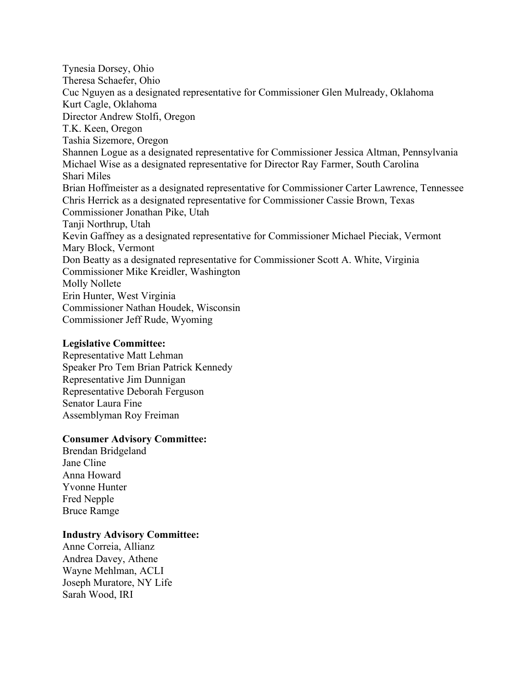Tynesia Dorsey, Ohio Theresa Schaefer, Ohio Cuc Nguyen as a designated representative for Commissioner Glen Mulready, Oklahoma Kurt Cagle, Oklahoma Director Andrew Stolfi, Oregon T.K. Keen, Oregon Tashia Sizemore, Oregon Shannen Logue as a designated representative for Commissioner Jessica Altman, Pennsylvania Michael Wise as a designated representative for Director Ray Farmer, South Carolina Shari Miles Brian Hoffmeister as a designated representative for Commissioner Carter Lawrence, Tennessee Chris Herrick as a designated representative for Commissioner Cassie Brown, Texas Commissioner Jonathan Pike, Utah Tanji Northrup, Utah Kevin Gaffney as a designated representative for Commissioner Michael Pieciak, Vermont Mary Block, Vermont Don Beatty as a designated representative for Commissioner Scott A. White, Virginia Commissioner Mike Kreidler, Washington Molly Nollete Erin Hunter, West Virginia Commissioner Nathan Houdek, Wisconsin Commissioner Jeff Rude, Wyoming

#### **Legislative Committee:**

Representative Matt Lehman Speaker Pro Tem Brian Patrick Kennedy Representative Jim Dunnigan Representative Deborah Ferguson Senator Laura Fine Assemblyman Roy Freiman

## **Consumer Advisory Committee:**

Brendan Bridgeland Jane Cline Anna Howard Yvonne Hunter Fred Nepple Bruce Ramge

#### **Industry Advisory Committee:**

Anne Correia, Allianz Andrea Davey, Athene Wayne Mehlman, ACLI Joseph Muratore, NY Life Sarah Wood, IRI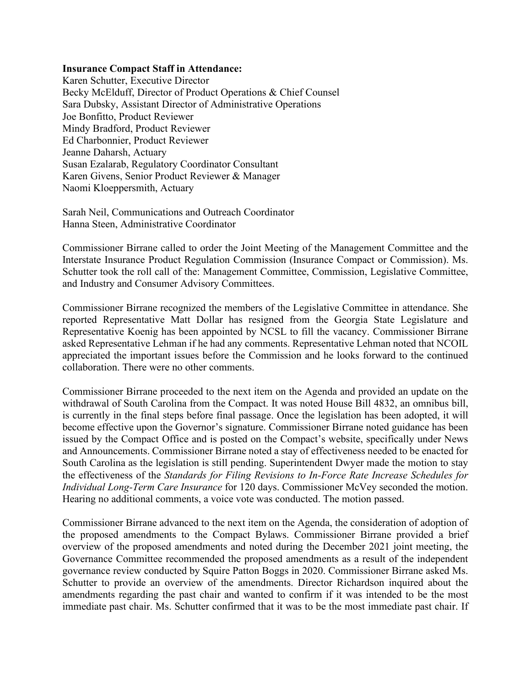### **Insurance Compact Staff in Attendance:**

Karen Schutter, Executive Director Becky McElduff, Director of Product Operations & Chief Counsel Sara Dubsky, Assistant Director of Administrative Operations Joe Bonfitto, Product Reviewer Mindy Bradford, Product Reviewer Ed Charbonnier, Product Reviewer Jeanne Daharsh, Actuary Susan Ezalarab, Regulatory Coordinator Consultant Karen Givens, Senior Product Reviewer & Manager Naomi Kloeppersmith, Actuary

Sarah Neil, Communications and Outreach Coordinator Hanna Steen, Administrative Coordinator

Commissioner Birrane called to order the Joint Meeting of the Management Committee and the Interstate Insurance Product Regulation Commission (Insurance Compact or Commission). Ms. Schutter took the roll call of the: Management Committee, Commission, Legislative Committee, and Industry and Consumer Advisory Committees.

Commissioner Birrane recognized the members of the Legislative Committee in attendance. She reported Representative Matt Dollar has resigned from the Georgia State Legislature and Representative Koenig has been appointed by NCSL to fill the vacancy. Commissioner Birrane asked Representative Lehman if he had any comments. Representative Lehman noted that NCOIL appreciated the important issues before the Commission and he looks forward to the continued collaboration. There were no other comments.

Commissioner Birrane proceeded to the next item on the Agenda and provided an update on the withdrawal of South Carolina from the Compact. It was noted House Bill 4832, an omnibus bill, is currently in the final steps before final passage. Once the legislation has been adopted, it will become effective upon the Governor's signature. Commissioner Birrane noted guidance has been issued by the Compact Office and is posted on the Compact's website, specifically under News and Announcements. Commissioner Birrane noted a stay of effectiveness needed to be enacted for South Carolina as the legislation is still pending. Superintendent Dwyer made the motion to stay the effectiveness of the *Standards for Filing Revisions to In-Force Rate Increase Schedules for Individual Long-Term Care Insurance* for 120 days. Commissioner McVey seconded the motion. Hearing no additional comments, a voice vote was conducted. The motion passed.

Commissioner Birrane advanced to the next item on the Agenda, the consideration of adoption of the proposed amendments to the Compact Bylaws. Commissioner Birrane provided a brief overview of the proposed amendments and noted during the December 2021 joint meeting, the Governance Committee recommended the proposed amendments as a result of the independent governance review conducted by Squire Patton Boggs in 2020. Commissioner Birrane asked Ms. Schutter to provide an overview of the amendments. Director Richardson inquired about the amendments regarding the past chair and wanted to confirm if it was intended to be the most immediate past chair. Ms. Schutter confirmed that it was to be the most immediate past chair. If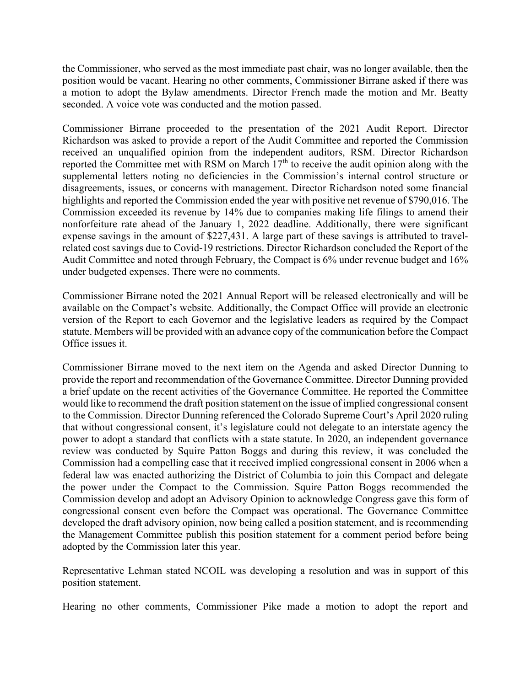the Commissioner, who served as the most immediate past chair, was no longer available, then the position would be vacant. Hearing no other comments, Commissioner Birrane asked if there was a motion to adopt the Bylaw amendments. Director French made the motion and Mr. Beatty seconded. A voice vote was conducted and the motion passed.

Commissioner Birrane proceeded to the presentation of the 2021 Audit Report. Director Richardson was asked to provide a report of the Audit Committee and reported the Commission received an unqualified opinion from the independent auditors, RSM. Director Richardson reported the Committee met with RSM on March  $17<sup>th</sup>$  to receive the audit opinion along with the supplemental letters noting no deficiencies in the Commission's internal control structure or disagreements, issues, or concerns with management. Director Richardson noted some financial highlights and reported the Commission ended the year with positive net revenue of \$790,016. The Commission exceeded its revenue by 14% due to companies making life filings to amend their nonforfeiture rate ahead of the January 1, 2022 deadline. Additionally, there were significant expense savings in the amount of \$227,431. A large part of these savings is attributed to travelrelated cost savings due to Covid-19 restrictions. Director Richardson concluded the Report of the Audit Committee and noted through February, the Compact is 6% under revenue budget and 16% under budgeted expenses. There were no comments.

Commissioner Birrane noted the 2021 Annual Report will be released electronically and will be available on the Compact's website. Additionally, the Compact Office will provide an electronic version of the Report to each Governor and the legislative leaders as required by the Compact statute. Members will be provided with an advance copy of the communication before the Compact Office issues it.

Commissioner Birrane moved to the next item on the Agenda and asked Director Dunning to provide the report and recommendation of the Governance Committee. Director Dunning provided a brief update on the recent activities of the Governance Committee. He reported the Committee would like to recommend the draft position statement on the issue of implied congressional consent to the Commission. Director Dunning referenced the Colorado Supreme Court's April 2020 ruling that without congressional consent, it's legislature could not delegate to an interstate agency the power to adopt a standard that conflicts with a state statute. In 2020, an independent governance review was conducted by Squire Patton Boggs and during this review, it was concluded the Commission had a compelling case that it received implied congressional consent in 2006 when a federal law was enacted authorizing the District of Columbia to join this Compact and delegate the power under the Compact to the Commission. Squire Patton Boggs recommended the Commission develop and adopt an Advisory Opinion to acknowledge Congress gave this form of congressional consent even before the Compact was operational. The Governance Committee developed the draft advisory opinion, now being called a position statement, and is recommending the Management Committee publish this position statement for a comment period before being adopted by the Commission later this year.

Representative Lehman stated NCOIL was developing a resolution and was in support of this position statement.

Hearing no other comments, Commissioner Pike made a motion to adopt the report and